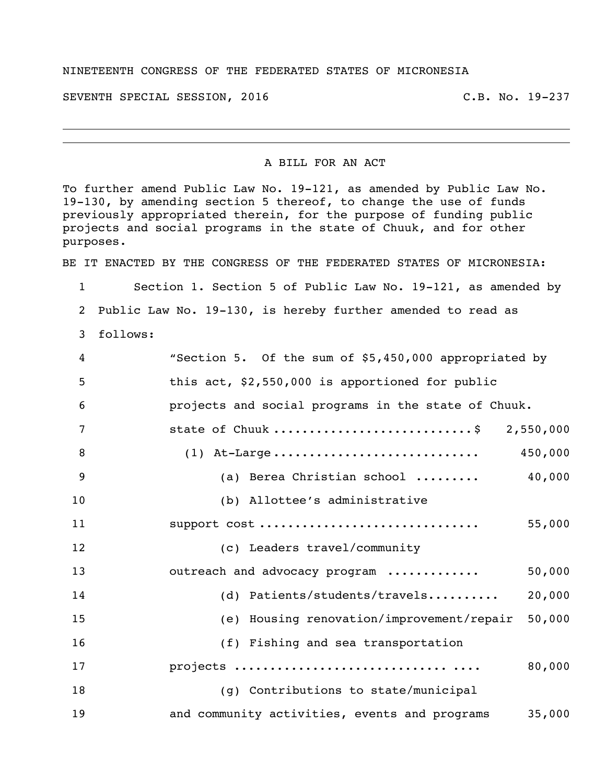## NINETEENTH CONGRESS OF THE FEDERATED STATES OF MICRONESIA

SEVENTH SPECIAL SESSION, 2016 C.B. No. 19-237

## A BILL FOR AN ACT

To further amend Public Law No. 19-121, as amended by Public Law No. 19-130, by amending section 5 thereof, to change the use of funds previously appropriated therein, for the purpose of funding public projects and social programs in the state of Chuuk, and for other purposes.

BE IT ENACTED BY THE CONGRESS OF THE FEDERATED STATES OF MICRONESIA:

 Section 1. Section 5 of Public Law No. 19-121, as amended by Public Law No. 19-130, is hereby further amended to read as

follows:

| 4  | "Section 5. Of the sum of \$5,450,000 appropriated by   |
|----|---------------------------------------------------------|
| 5  | this act, \$2,550,000 is apportioned for public         |
| 6  | projects and social programs in the state of Chuuk.     |
| 7  | state of Chuuk \$ 2,550,000                             |
| 8  | 450,000                                                 |
| 9  | 40,000<br>(a) Berea Christian school                    |
| 10 | (b) Allottee's administrative                           |
| 11 | support cost<br>55,000                                  |
| 12 | (c) Leaders travel/community                            |
| 13 | outreach and advocacy program<br>50,000                 |
| 14 | 20,000<br>(d) Patients/students/travels                 |
| 15 | (e) Housing renovation/improvement/repair<br>50,000     |
| 16 | (f) Fishing and sea transportation                      |
| 17 | 80,000                                                  |
| 18 | (g) Contributions to state/municipal                    |
| 19 | and community activities, events and programs<br>35,000 |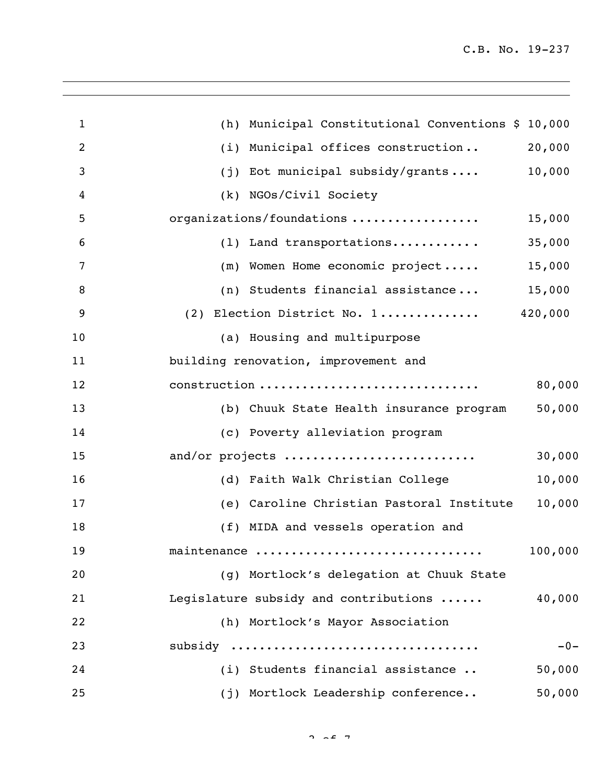| $\mathbf{1}$   | (h) Municipal Constitutional Conventions \$ 10,000  |
|----------------|-----------------------------------------------------|
| $\overline{2}$ | 20,000<br>(i) Municipal offices construction        |
| 3              | 10,000<br>(j) Eot municipal subsidy/grants          |
| $\overline{4}$ | (k) NGOs/Civil Society                              |
| 5              | organizations/foundations<br>15,000                 |
| 6              | (1) Land transportations<br>35,000                  |
| 7              | (m) Women Home economic project<br>15,000           |
| 8              | (n) Students financial assistance<br>15,000         |
| 9              | 420,000<br>(2) Election District No. 1              |
| 10             | (a) Housing and multipurpose                        |
| 11             | building renovation, improvement and                |
| 12             | construction<br>80,000                              |
| 13             | 50,000<br>(b) Chuuk State Health insurance program  |
| 14             | (c) Poverty alleviation program                     |
| 15             | and/or projects<br>30,000                           |
| 16             | 10,000<br>(d) Faith Walk Christian College          |
| 17             | 10,000<br>(e) Caroline Christian Pastoral Institute |
| 18             | (f) MIDA and vessels operation and                  |
| 19             | 100,000<br>maintenance                              |
| 20             | (g) Mortlock's delegation at Chuuk State            |
| 21             | Legislature subsidy and contributions<br>40,000     |
| 22             | (h) Mortlock's Mayor Association                    |
| 23             | subsidy<br>$-0-$                                    |
| 24             | (i) Students financial assistance<br>50,000         |
| 25             | (j) Mortlock Leadership conference<br>50,000        |
|                |                                                     |

 $2 \times 2 \times 7$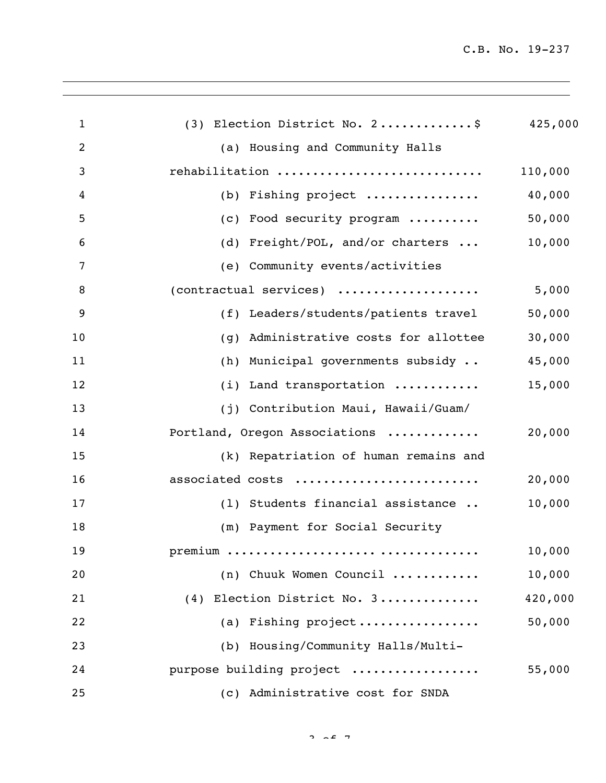| $\mathbf{1}$ | (3) Election District No. 2\$                       | 425,000 |
|--------------|-----------------------------------------------------|---------|
| 2            | (a) Housing and Community Halls                     |         |
| 3            | rehabilitation                                      | 110,000 |
| 4            | (b) Fishing project                                 | 40,000  |
| 5            | (c) Food security program                           | 50,000  |
| 6            | (d) Freight/POL, and/or charters                    | 10,000  |
| 7            | (e) Community events/activities                     |         |
| 8            | (contractual services)                              | 5,000   |
| 9            | (f) Leaders/students/patients travel                | 50,000  |
| 10           | Administrative costs for allottee<br>(q)            | 30,000  |
| 11           | (h) Municipal governments subsidy                   | 45,000  |
| 12           | (i) Land transportation                             | 15,000  |
| 13           | (j) Contribution Maui, Hawaii/Guam/                 |         |
| 14           | Portland, Oregon Associations                       | 20,000  |
| 15           | (k) Repatriation of human remains and               |         |
| 16           | associated costs                                    | 20,000  |
| 17           | (1) Students financial assistance                   | 10,000  |
| 18           | (m) Payment for Social Security                     |         |
| 19           |                                                     | 10,000  |
| 20           | (n) Chuuk Women Council                             | 10,000  |
| 21           | (4) Election District No. 3                         | 420,000 |
| 22           | (a) Fishing $project \dots \dots \dots \dots \dots$ | 50,000  |
| 23           | (b) Housing/Community Halls/Multi-                  |         |
| 24           | purpose building project                            | 55,000  |
| 25           | (c) Administrative cost for SNDA                    |         |
|              |                                                     |         |

 $2 \times 27$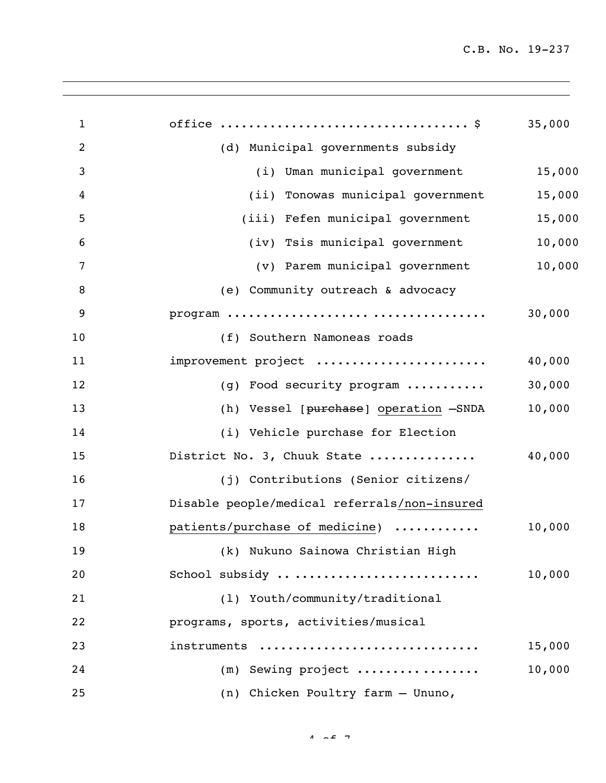| $\mathbf{1}$   |                                              | 35,000 |
|----------------|----------------------------------------------|--------|
| 2              | (d) Municipal governments subsidy            |        |
| 3              | (i) Uman municipal government                | 15,000 |
| $\overline{4}$ | (ii) Tonowas municipal government            | 15,000 |
| 5              | (iii) Fefen municipal government             | 15,000 |
| 6              | (iv) Tsis municipal government               | 10,000 |
| 7              | (v) Parem municipal government               | 10,000 |
| 8              | (e) Community outreach & advocacy            |        |
| 9              |                                              | 30,000 |
| 10             | (f) Southern Namoneas roads                  |        |
| 11             | improvement project                          | 40,000 |
| 12             | (g) Food security program                    | 30,000 |
| 13             | (h) Vessel [purchase] operation -SNDA        | 10,000 |
| 14             | (i) Vehicle purchase for Election            |        |
| 15             | District No. 3, Chuuk State                  | 40,000 |
| 16             | (j) Contributions (Senior citizens/          |        |
| 17             | Disable people/medical referrals/non-insured |        |
| 18             | patients/purchase of medicine)               | 10,000 |
| 19             | (k) Nukuno Sainowa Christian High            |        |
| 20             | School subsidy                               | 10,000 |
| 21             | (1) Youth/community/traditional              |        |
| 22             | programs, sports, activities/musical         |        |
| 23             | instruments                                  | 15,000 |
| 24             | $(m)$ Sewing project                         | 10,000 |
| 25             | (n) Chicken Poultry farm - Ununo,            |        |

 $4 \times 2 \times 7$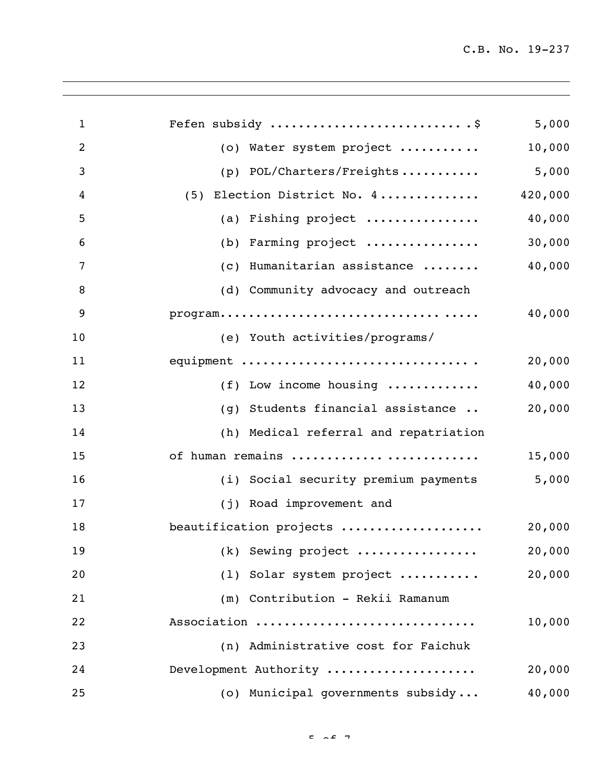| $\mathbf{1}$   | Fefen subsidy                                                                        | 5,000   |
|----------------|--------------------------------------------------------------------------------------|---------|
| $\overline{2}$ | (o) Water system project                                                             | 10,000  |
| 3              | (p) POL/Charters/Freights                                                            | 5,000   |
| 4              | (5) Election District No. 4                                                          | 420,000 |
| 5              | (a) Fishing project                                                                  | 40,000  |
| 6              | (b) Farming project                                                                  | 30,000  |
| 7              | (c) Humanitarian assistance                                                          | 40,000  |
| 8              | (d) Community advocacy and outreach                                                  |         |
| 9              | $\texttt{program} \dots \dots \dots \dots \dots \dots \dots \dots \dots \dots \dots$ | 40,000  |
| 10             | (e) Youth activities/programs/                                                       |         |
| 11             | equipment                                                                            | 20,000  |
| 12             | (f) Low income housing $\ldots$                                                      | 40,000  |
| 13             | (g) Students financial assistance                                                    | 20,000  |
| 14             | (h) Medical referral and repatriation                                                |         |
| 15             | of human remains                                                                     | 15,000  |
| 16             | (i) Social security premium payments                                                 | 5,000   |
| 17             | (j) Road improvement and                                                             |         |
| 18             | beautification projects                                                              | 20,000  |
| 19             | (k) Sewing project                                                                   | 20,000  |
| 20             | (1) Solar system project                                                             | 20,000  |
| 21             | (m) Contribution - Rekii Ramanum                                                     |         |
| 22             | Association                                                                          | 10,000  |
| 23             | (n) Administrative cost for Faichuk                                                  |         |
| 24             | Development Authority                                                                | 20,000  |
| 25             | (o) Municipal governments subsidy                                                    | 40,000  |
|                |                                                                                      |         |

 $F = \sqrt{2}$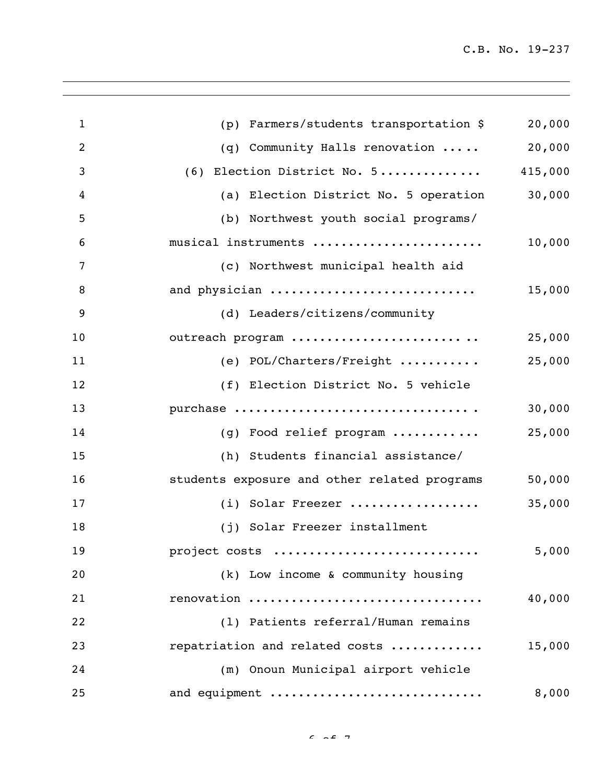| $\mathbf{1}$   | (p) Farmers/students transportation \$       | 20,000  |
|----------------|----------------------------------------------|---------|
| $\overline{2}$ | (q) Community Halls renovation               | 20,000  |
| $\mathbf{3}$   | (6) Election District No. 5                  | 415,000 |
| 4              | (a) Election District No. 5 operation        | 30,000  |
| 5              | (b) Northwest youth social programs/         |         |
| 6              | musical instruments                          | 10,000  |
| 7              | (c) Northwest municipal health aid           |         |
| 8              | and physician                                | 15,000  |
| 9              | (d) Leaders/citizens/community               |         |
| 10             | outreach program                             | 25,000  |
| 11             | (e) POL/Charters/Freight                     | 25,000  |
| 12             | (f) Election District No. 5 vehicle          |         |
| 13             | purchase                                     | 30,000  |
| 14             | (g) Food relief program                      | 25,000  |
| 15             | (h) Students financial assistance/           |         |
| 16             | students exposure and other related programs | 50,000  |
| 17             | (i) Solar Freezer                            | 35,000  |
| 18             | (j) Solar Freezer installment                |         |
| 19             | project costs                                | 5,000   |
| 20             | (k) Low income & community housing           |         |
| 21             | renovation                                   | 40,000  |
| 22             | (1) Patients referral/Human remains          |         |
| 23             | repatriation and related costs               | 15,000  |
| 24             | (m) Onoun Municipal airport vehicle          |         |
| 25             | and equipment                                | 8,000   |
|                |                                              |         |

 $6.207$